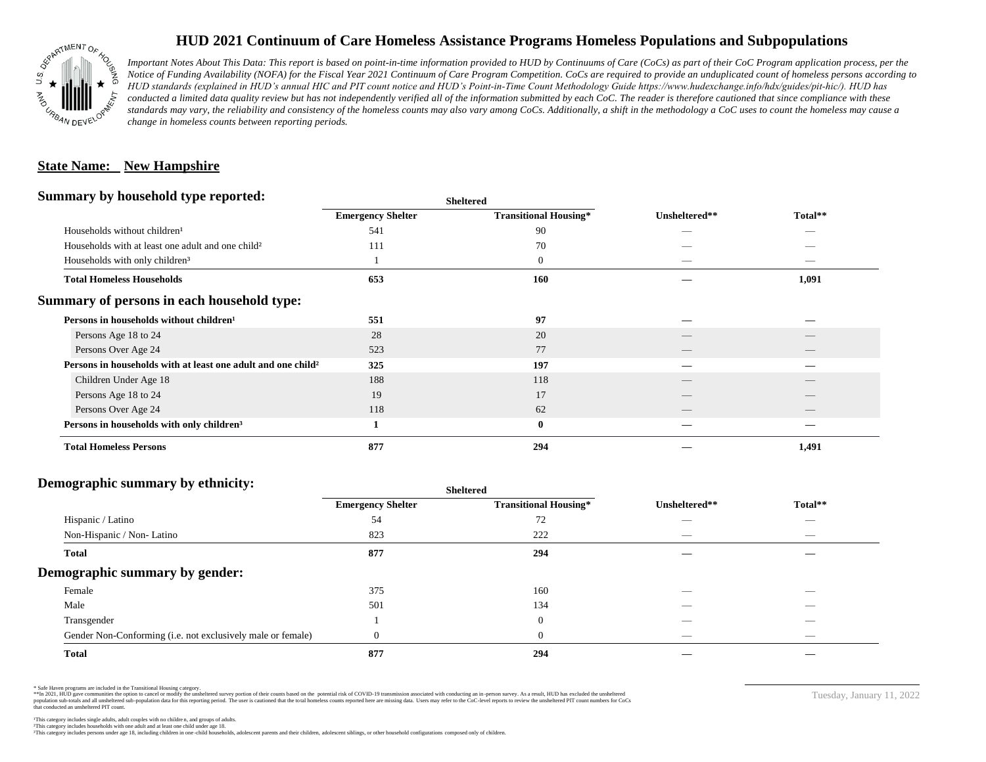

# **HUD 2021 Continuum of Care Homeless Assistance Programs Homeless Populations and Subpopulations**

*Important Notes About This Data: This report is based on point-in-time information provided to HUD by Continuums of Care (CoCs) as part of their CoC Program application process, per the Notice of Funding Availability (NOFA) for the Fiscal Year 2021 Continuum of Care Program Competition. CoCs are required to provide an unduplicated count of homeless persons according to HUD standards (explained in HUD's annual HIC and PIT count notice and HUD's Point-in-Time Count Methodology Guide https://www.hudexchange.info/hdx/guides/pit-hic/). HUD has*  conducted a limited data quality review but has not independently verified all of the information submitted by each CoC. The reader is therefore cautioned that since compliance with these standards may vary, the reliability and consistency of the homeless counts may also vary among CoCs. Additionally, a shift in the methodology a CoC uses to count the homeless may cause a *change in homeless counts between reporting periods.*

#### **State Name: New Hampshire**

#### **Summary by household type reported:**

| <b>Emergency Shelter</b><br><b>Transitional Housing*</b><br>Unsheltered**<br>90<br>Households without children <sup>1</sup><br>541<br>_<br>_<br>70<br>Households with at least one adult and one child <sup>2</sup><br>111<br>$\boldsymbol{0}$<br>Households with only children <sup>3</sup><br>160<br><b>Total Homeless Households</b><br>653<br>Persons in households without children <sup>1</sup><br>97<br>551<br>28<br>20<br>Persons Age 18 to 24<br>523<br>77<br>Persons Over Age 24<br>Persons in households with at least one adult and one child <sup>2</sup><br>325<br>197<br>188<br>118<br>Children Under Age 18<br>__<br>$\overline{\phantom{a}}$<br>17<br>Persons Age 18 to 24<br>19<br>Persons Over Age 24<br>118<br>62<br>$\bf{0}$<br>Persons in households with only children <sup>3</sup> | $\cdot$<br>. .                |     | энскегси |         |
|------------------------------------------------------------------------------------------------------------------------------------------------------------------------------------------------------------------------------------------------------------------------------------------------------------------------------------------------------------------------------------------------------------------------------------------------------------------------------------------------------------------------------------------------------------------------------------------------------------------------------------------------------------------------------------------------------------------------------------------------------------------------------------------------------------|-------------------------------|-----|----------|---------|
| Summary of persons in each household type:                                                                                                                                                                                                                                                                                                                                                                                                                                                                                                                                                                                                                                                                                                                                                                 |                               |     |          | Total** |
|                                                                                                                                                                                                                                                                                                                                                                                                                                                                                                                                                                                                                                                                                                                                                                                                            |                               |     |          |         |
|                                                                                                                                                                                                                                                                                                                                                                                                                                                                                                                                                                                                                                                                                                                                                                                                            |                               |     |          |         |
|                                                                                                                                                                                                                                                                                                                                                                                                                                                                                                                                                                                                                                                                                                                                                                                                            |                               |     |          |         |
|                                                                                                                                                                                                                                                                                                                                                                                                                                                                                                                                                                                                                                                                                                                                                                                                            |                               |     |          | 1,091   |
|                                                                                                                                                                                                                                                                                                                                                                                                                                                                                                                                                                                                                                                                                                                                                                                                            |                               |     |          |         |
|                                                                                                                                                                                                                                                                                                                                                                                                                                                                                                                                                                                                                                                                                                                                                                                                            |                               |     |          |         |
|                                                                                                                                                                                                                                                                                                                                                                                                                                                                                                                                                                                                                                                                                                                                                                                                            |                               |     |          |         |
|                                                                                                                                                                                                                                                                                                                                                                                                                                                                                                                                                                                                                                                                                                                                                                                                            |                               |     |          |         |
|                                                                                                                                                                                                                                                                                                                                                                                                                                                                                                                                                                                                                                                                                                                                                                                                            |                               |     |          |         |
|                                                                                                                                                                                                                                                                                                                                                                                                                                                                                                                                                                                                                                                                                                                                                                                                            |                               |     |          |         |
|                                                                                                                                                                                                                                                                                                                                                                                                                                                                                                                                                                                                                                                                                                                                                                                                            |                               |     |          |         |
|                                                                                                                                                                                                                                                                                                                                                                                                                                                                                                                                                                                                                                                                                                                                                                                                            |                               |     |          |         |
|                                                                                                                                                                                                                                                                                                                                                                                                                                                                                                                                                                                                                                                                                                                                                                                                            |                               |     |          |         |
|                                                                                                                                                                                                                                                                                                                                                                                                                                                                                                                                                                                                                                                                                                                                                                                                            | <b>Total Homeless Persons</b> | 877 | 294      | 1,491   |

**Sheltered**

### **Demographic summary by ethnicity:**

|                                                             | <b>Sheltered</b>         |                              |                                 |                                |  |
|-------------------------------------------------------------|--------------------------|------------------------------|---------------------------------|--------------------------------|--|
|                                                             | <b>Emergency Shelter</b> | <b>Transitional Housing*</b> | Unsheltered**                   | Total**                        |  |
| Hispanic / Latino                                           | 54                       | 72                           | __                              | $\overbrace{\hspace{25mm}}^{}$ |  |
| Non-Hispanic / Non-Latino                                   | 823                      | 222                          | $\overline{\phantom{a}}$        | $\overbrace{\hspace{25mm}}^{}$ |  |
| <b>Total</b>                                                | 877                      | 294                          |                                 |                                |  |
| Demographic summary by gender:                              |                          |                              |                                 |                                |  |
| Female                                                      | 375                      | 160                          |                                 |                                |  |
| Male                                                        | 501                      | 134                          |                                 |                                |  |
| Transgender                                                 |                          | $\overline{0}$               | _                               | $\overbrace{\hspace{25mm}}^{}$ |  |
| Gender Non-Conforming (i.e. not exclusively male or female) |                          | $\theta$                     | $\hspace{0.1mm}-\hspace{0.1mm}$ | $\overbrace{\hspace{25mm}}^{}$ |  |
| <b>Total</b>                                                | 877                      | 294                          |                                 |                                |  |

\* Safe Haven programs are included in the Transitional Housing category.

\*\*In 2021, HUD gave communities the option to cancel or modify the unsheltered survey portion of their counts based on the potential risk of COVID-19 transmission associated with conducting an in-person survey. As a result n political data for this reporting period. The user is cautioned that the total homeless counts reported here are missing data. Users may refer to the CoC-level reports to review the unshellered PIT count numbers for CoCs that conducted an unsheltered PIT count.

Tuesday, January 11, 2022